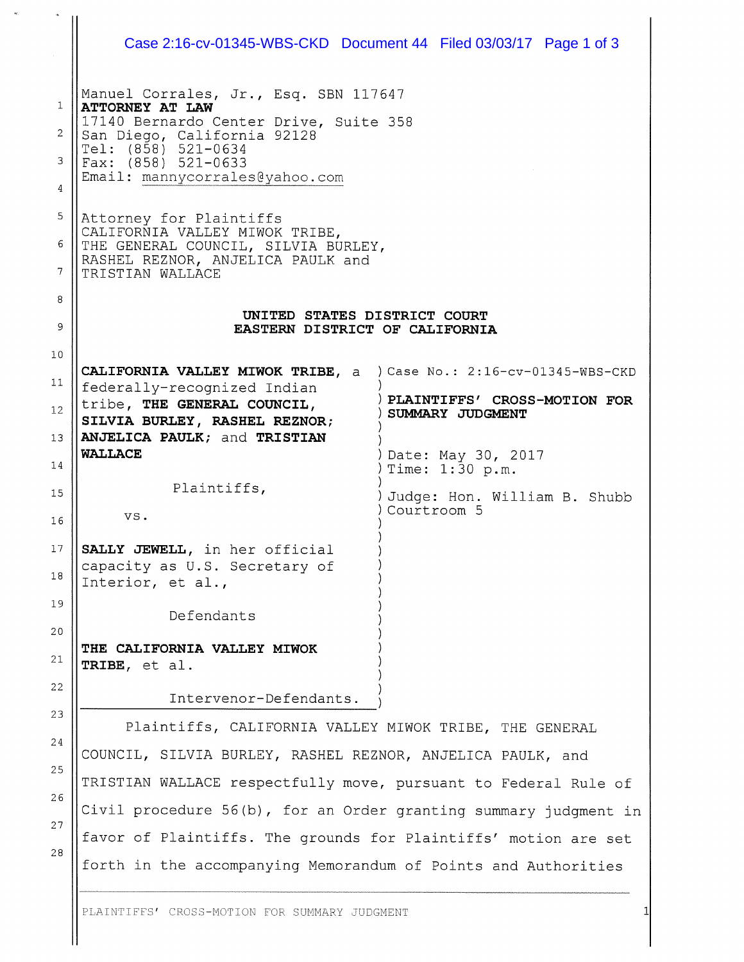|                                          | Case 2:16-cv-01345-WBS-CKD  Document 44  Filed 03/03/17  Page 1 of 3                                                                                                                                                       |                                                                                       |
|------------------------------------------|----------------------------------------------------------------------------------------------------------------------------------------------------------------------------------------------------------------------------|---------------------------------------------------------------------------------------|
| $\mathbf{1}$<br>2<br>3<br>$\overline{4}$ | Manuel Corrales, Jr., Esq. SBN 117647<br><b>ATTORNEY AT LAW</b><br>17140 Bernardo Center Drive, Suite 358<br>San Diego, California 92128<br>Tel: (858) 521-0634<br>Fax: $(858)$ 521-0633<br>Email: mannycorrales@yahoo.com |                                                                                       |
| 5<br>6<br>7                              | Attorney for Plaintiffs<br>CALIFORNIA VALLEY MIWOK TRIBE,<br>THE GENERAL COUNCIL, SILVIA BURLEY,<br>RASHEL REZNOR, ANJELICA PAULK and<br>TRISTIAN WALLACE                                                                  |                                                                                       |
| 8<br>9                                   | UNITED STATES DISTRICT COURT<br>EASTERN DISTRICT OF CALIFORNIA                                                                                                                                                             |                                                                                       |
| 10                                       |                                                                                                                                                                                                                            |                                                                                       |
| 11<br>12                                 | CALIFORNIA VALLEY MIWOK TRIBE, a<br>federally-recognized Indian<br>tribe, THE GENERAL COUNCIL,<br>SILVIA BURLEY, RASHEL REZNOR;                                                                                            | ) Case No.: 2:16-cv-01345-WBS-CKD<br>PLAINTIFFS' CROSS-MOTION FOR<br>SUMMARY JUDGMENT |
| 13                                       | ANJELICA PAULK; and TRISTIAN<br><b>WALLACE</b>                                                                                                                                                                             | Date: May 30, 2017                                                                    |
| 14                                       | Plaintiffs,                                                                                                                                                                                                                | Time: 1:30 p.m.                                                                       |
| 15<br>16                                 | VS.                                                                                                                                                                                                                        | Judge: Hon. William B. Shubb<br>Courtroom 5                                           |
| 17<br>18                                 | SALLY JEWELL, in her official<br>capacity as U.S. Secretary of<br>Interior, et al.,                                                                                                                                        |                                                                                       |
| 19                                       | Defendants                                                                                                                                                                                                                 |                                                                                       |
| 20<br>21                                 | THE CALIFORNIA VALLEY MIWOK<br>TRIBE, et al.                                                                                                                                                                               |                                                                                       |
| 22                                       | Intervenor-Defendants.                                                                                                                                                                                                     |                                                                                       |
| 23                                       | Plaintiffs, CALIFORNIA VALLEY MIWOK TRIBE, THE GENERAL                                                                                                                                                                     |                                                                                       |
| 24                                       | COUNCIL, SILVIA BURLEY, RASHEL REZNOR, ANJELICA PAULK, and                                                                                                                                                                 |                                                                                       |
| 25<br>26                                 | TRISTIAN WALLACE respectfully move, pursuant to Federal Rule of                                                                                                                                                            |                                                                                       |
| 27                                       | Civil procedure 56(b), for an Order granting summary judgment in                                                                                                                                                           |                                                                                       |
| 28                                       | favor of Plaintiffs. The grounds for Plaintiffs' motion are set                                                                                                                                                            |                                                                                       |
|                                          | forth in the accompanying Memorandum of Points and Authorities                                                                                                                                                             |                                                                                       |

 $\frac{1}{2}$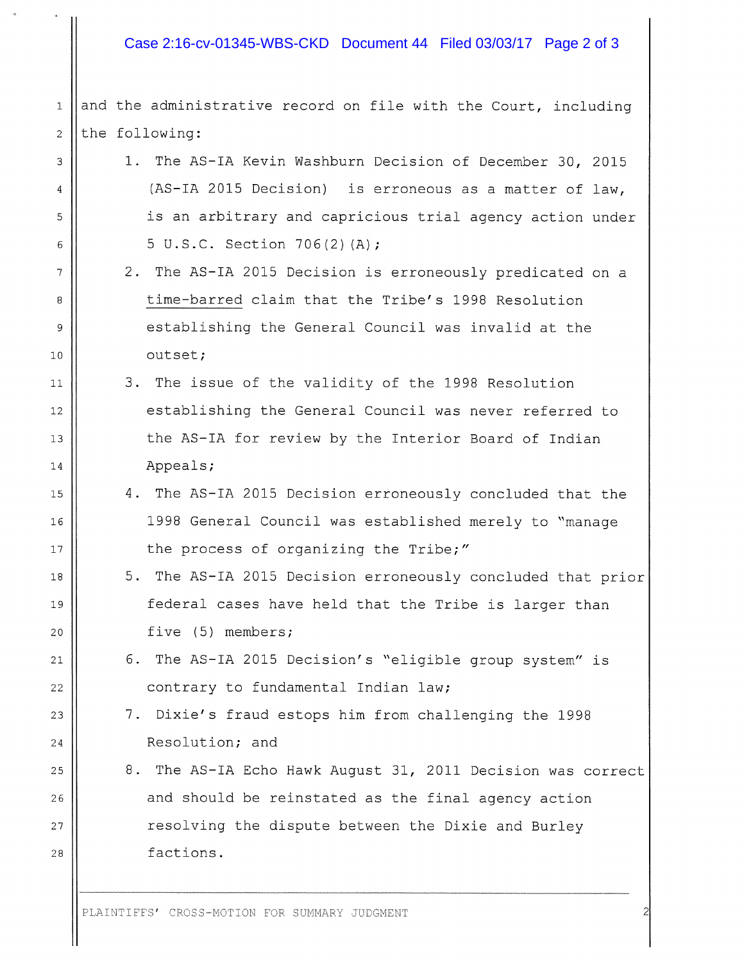## Case 2:16-cv-01345-WBS-CKD Document 44 Filed 03/03/17 Page 2 of 3

 $1$  | and the administrative record on file with the Court, including  $2$  | the following:

- 3 | 1. The AS-IA Kevin Washburn Decision of December 30, 2015 4 || (AS-IA 2015 Decision) is erroneous as a matter of law, <sup>5</sup> is an arbitrary and capricious trial agency action under 6  $\vert$  5 U.S.C. Section 706(2)(A);
- <sup>7</sup> 2. The AS—IA 2015 Decision is erroneously predicated on <sup>a</sup> 8 || time-barred claim that the Tribe's 1998 Resolution <sup>9</sup> establishing the General Council was invalid at the 10 | outset;
- ii 3. The issue of the validity of the <sup>1998</sup> Resolution 12 || establishing the General Council was never referred to 13 || the AS-IA for review by the Interior Board of Indian 14 || Appeals;
- <sup>15</sup> 4. The AS—IA 2015 Decision erroneously concluded that the <sup>16</sup> 1998 General Council was established merely to "manage 17 || the process of organizing the Tribe;"
- 18 || 5. The AS-IA 2015 Decision erroneously concluded that prior <sup>19</sup> federal cases have held that the Tribe is larger than 20 || five (5) members;
- <sup>21</sup> 6. The AS—IA 2015 Decision's "eligible group system" is 22 || contrary to fundamental Indian law;
- 23 | 7. Dixie's fraud estops him from challenging the 1998 24 Resolution; and
- 25 | 8. The AS-IA Echo Hawk August 31, 2011 Decision was correct 26 || and should be reinstated as the final agency action <sup>27</sup> resolving the dispute between the Dixie and Burley 28 || factions.